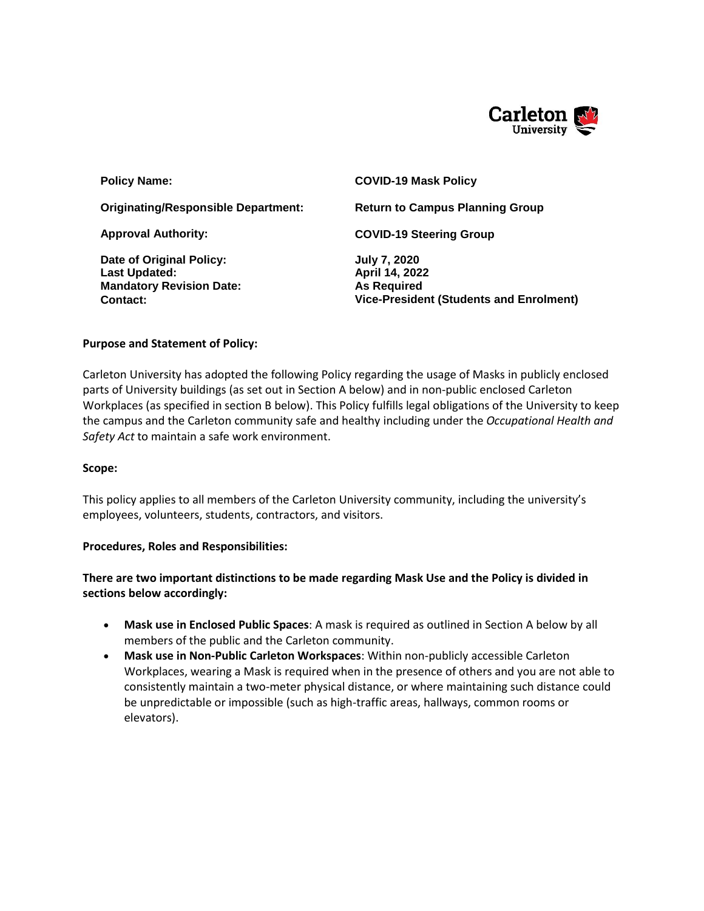

| <b>Policy Name:</b>                                                                             | <b>COVID-19 Mask Policy</b>                                                                                   |
|-------------------------------------------------------------------------------------------------|---------------------------------------------------------------------------------------------------------------|
| <b>Originating/Responsible Department:</b>                                                      | <b>Return to Campus Planning Group</b>                                                                        |
| <b>Approval Authority:</b>                                                                      | <b>COVID-19 Steering Group</b>                                                                                |
| Date of Original Policy:<br><b>Last Updated:</b><br><b>Mandatory Revision Date:</b><br>Contact: | <b>July 7, 2020</b><br>April 14, 2022<br><b>As Required</b><br><b>Vice-President (Students and Enrolment)</b> |

#### **Purpose and Statement of Policy:**

Carleton University has adopted the following Policy regarding the usage of Masks in publicly enclosed parts of University buildings (as set out in Section A below) and in non-public enclosed Carleton Workplaces (as specified in section B below). This Policy fulfills legal obligations of the University to keep the campus and the Carleton community safe and healthy including under the *Occupational Health and Safety Act* to maintain a safe work environment.

#### **Scope:**

This policy applies to all members of the Carleton University community, including the university's employees, volunteers, students, contractors, and visitors.

#### **Procedures, Roles and Responsibilities:**

**There are two important distinctions to be made regarding Mask Use and the Policy is divided in sections below accordingly:**

- **Mask use in Enclosed Public Spaces**: A mask is required as outlined in Section A below by all members of the public and the Carleton community.
- **Mask use in Non-Public Carleton Workspaces**: Within non-publicly accessible Carleton Workplaces, wearing a Mask is required when in the presence of others and you are not able to consistently maintain a two-meter physical distance, or where maintaining such distance could be unpredictable or impossible (such as high-traffic areas, hallways, common rooms or elevators).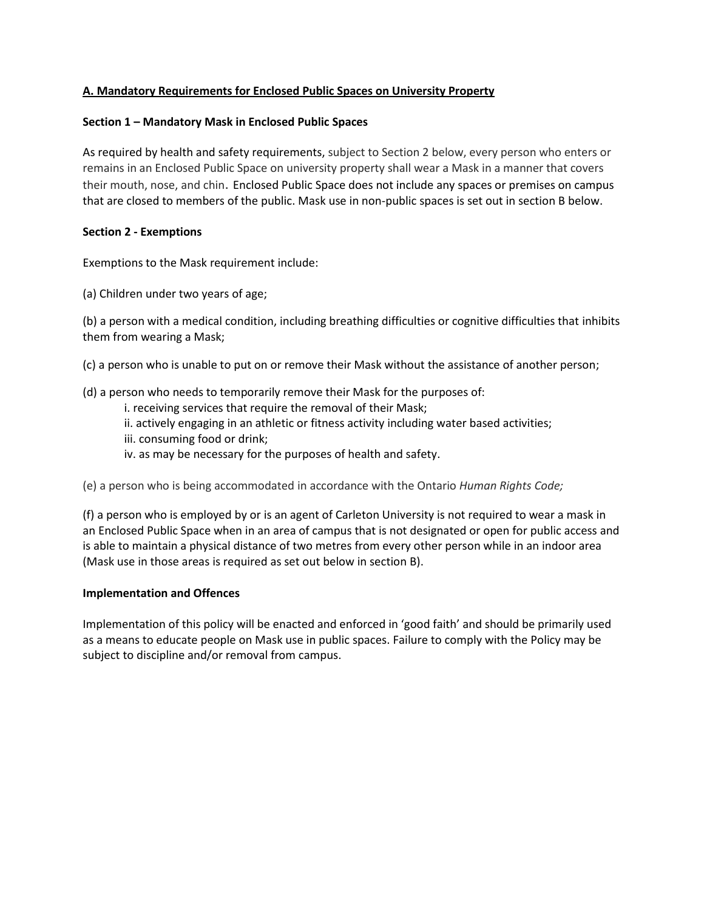# **A. Mandatory Requirements for Enclosed Public Spaces on University Property**

### **Section 1 – Mandatory Mask in Enclosed Public Spaces**

As required by health and safety requirements, subject to Section 2 below, every person who enters or remains in an Enclosed Public Space on university property shall wear a Mask in a manner that covers their mouth, nose, and chin. Enclosed Public Space does not include any spaces or premises on campus that are closed to members of the public. Mask use in non-public spaces is set out in section B below.

#### **Section 2 - Exemptions**

Exemptions to the Mask requirement include:

(a) Children under two years of age;

(b) a person with a medical condition, including breathing difficulties or cognitive difficulties that inhibits them from wearing a Mask;

(c) a person who is unable to put on or remove their Mask without the assistance of another person;

(d) a person who needs to temporarily remove their Mask for the purposes of:

- i. receiving services that require the removal of their Mask;
- ii. actively engaging in an athletic or fitness activity including water based activities;
- iii. consuming food or drink;
- iv. as may be necessary for the purposes of health and safety.

(e) a person who is being accommodated in accordance with the Ontario *Human Rights Code;*

(f) a person who is employed by or is an agent of Carleton University is not required to wear a mask in an Enclosed Public Space when in an area of campus that is not designated or open for public access and is able to maintain a physical distance of two metres from every other person while in an indoor area (Mask use in those areas is required as set out below in section B).

# **Implementation and Offences**

Implementation of this policy will be enacted and enforced in 'good faith' and should be primarily used as a means to educate people on Mask use in public spaces. Failure to comply with the Policy may be subject to discipline and/or removal from campus.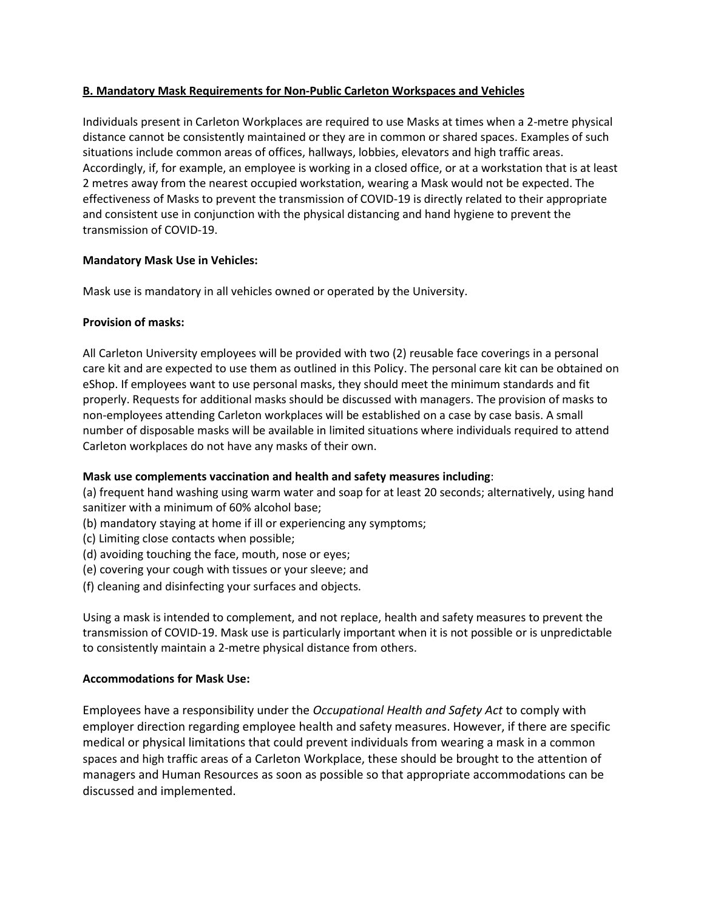# **B. Mandatory Mask Requirements for Non-Public Carleton Workspaces and Vehicles**

Individuals present in Carleton Workplaces are required to use Masks at times when a 2-metre physical distance cannot be consistently maintained or they are in common or shared spaces. Examples of such situations include common areas of offices, hallways, lobbies, elevators and high traffic areas. Accordingly, if, for example, an employee is working in a closed office, or at a workstation that is at least 2 metres away from the nearest occupied workstation, wearing a Mask would not be expected. The effectiveness of Masks to prevent the transmission of COVID-19 is directly related to their appropriate and consistent use in conjunction with the physical distancing and hand hygiene to prevent the transmission of COVID-19.

# **Mandatory Mask Use in Vehicles:**

Mask use is mandatory in all vehicles owned or operated by the University.

# **Provision of masks:**

All Carleton University employees will be provided with two (2) reusable face coverings in a personal care kit and are expected to use them as outlined in this Policy. The personal care kit can be obtained on eShop. If employees want to use personal masks, they should meet the minimum standards and fit properly. Requests for additional masks should be discussed with managers. The provision of masks to non-employees attending Carleton workplaces will be established on a case by case basis. A small number of disposable masks will be available in limited situations where individuals required to attend Carleton workplaces do not have any masks of their own.

# **Mask use complements vaccination and health and safety measures including**:

(a) frequent hand washing using warm water and soap for at least 20 seconds; alternatively, using hand sanitizer with a minimum of 60% alcohol base;

- (b) mandatory staying at home if ill or experiencing any symptoms;
- (c) Limiting close contacts when possible;
- (d) avoiding touching the face, mouth, nose or eyes;
- (e) covering your cough with tissues or your sleeve; and
- (f) cleaning and disinfecting your surfaces and objects.

Using a mask is intended to complement, and not replace, health and safety measures to prevent the transmission of COVID-19. Mask use is particularly important when it is not possible or is unpredictable to consistently maintain a 2-metre physical distance from others.

# **Accommodations for Mask Use:**

Employees have a responsibility under the *Occupational Health and Safety Act* to comply with employer direction regarding employee health and safety measures. However, if there are specific medical or physical limitations that could prevent individuals from wearing a mask in a common spaces and high traffic areas of a Carleton Workplace, these should be brought to the attention of managers and Human Resources as soon as possible so that appropriate accommodations can be discussed and implemented.